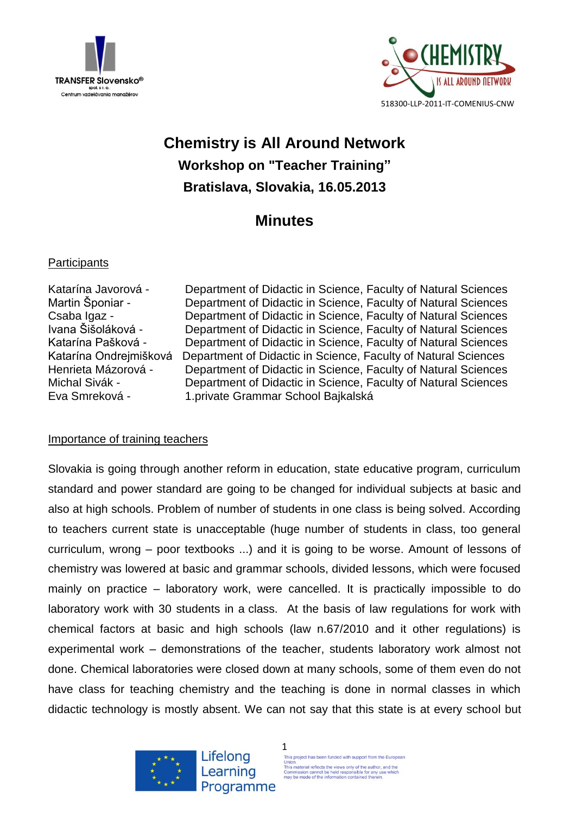



# **Chemistry is All Around Network Workshop on "Teacher Training" Bratislava, Slovakia, 16.05.2013**

## **Minutes**

### **Participants**

Katarína Javorová - Department of Didactic in Science, Faculty of Natural Sciences Martin Šponiar - Department of Didactic in Science, Faculty of Natural Sciences Csaba Igaz - Department of Didactic in Science, Faculty of Natural Sciences Ivana Šišoláková - Department of Didactic in Science, Faculty of Natural Sciences Katarína Pašková - Department of Didactic in Science, Faculty of Natural Sciences Katarína Ondrejmišková Department of Didactic in Science, Faculty of Natural Sciences Henrieta Mázorová - Department of Didactic in Science, Faculty of Natural Sciences Michal Sivák - Department of Didactic in Science, Faculty of Natural Sciences Eva Smreková - 1.private Grammar School Bajkalská

#### Importance of training teachers

Slovakia is going through another reform in education, state educative program, curriculum standard and power standard are going to be changed for individual subjects at basic and also at high schools. Problem of number of students in one class is being solved. According to teachers current state is unacceptable (huge number of students in class, too general curriculum, wrong – poor textbooks ...) and it is going to be worse. Amount of lessons of chemistry was lowered at basic and grammar schools, divided lessons, which were focused mainly on practice – laboratory work, were cancelled. It is practically impossible to do laboratory work with 30 students in a class. At the basis of law regulations for work with chemical factors at basic and high schools (law n.67/2010 and it other regulations) is experimental work – demonstrations of the teacher, students laboratory work almost not done. Chemical laboratories were closed down at many schools, some of them even do not have class for teaching chemistry and the teaching is done in normal classes in which didactic technology is mostly absent. We can not say that this state is at every school but





1 This project has been funded with support from the European Union.<br>This material reflects the views only of the author, and the<br>Commission cannot be held responsible for any use which<br>may be made of the information contained therein.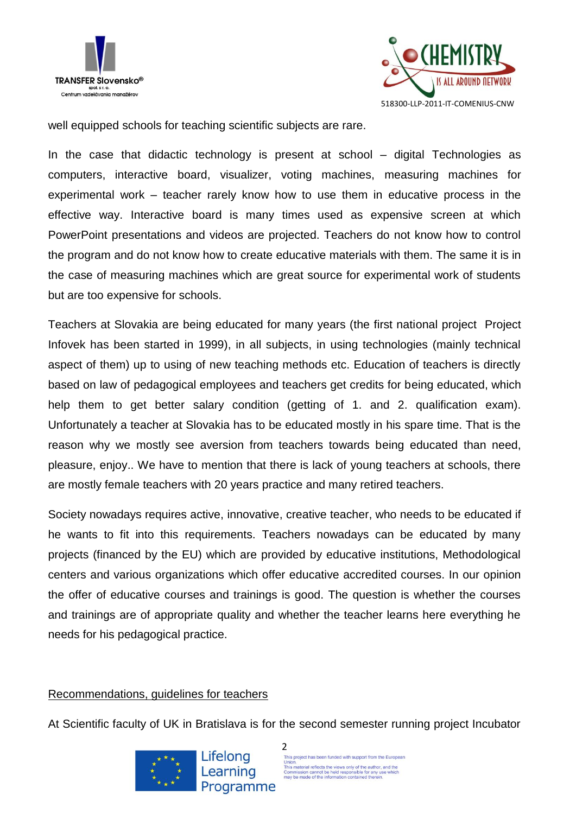



well equipped schools for teaching scientific subjects are rare.

In the case that didactic technology is present at school – digital Technologies as computers, interactive board, visualizer, voting machines, measuring machines for experimental work – teacher rarely know how to use them in educative process in the effective way. Interactive board is many times used as expensive screen at which PowerPoint presentations and videos are projected. Teachers do not know how to control the program and do not know how to create educative materials with them. The same it is in the case of measuring machines which are great source for experimental work of students but are too expensive for schools.

Teachers at Slovakia are being educated for many years (the first national project Project Infovek has been started in 1999), in all subjects, in using technologies (mainly technical aspect of them) up to using of new teaching methods etc. Education of teachers is directly based on law of pedagogical employees and teachers get credits for being educated, which help them to get better salary condition (getting of 1. and 2. qualification exam). Unfortunately a teacher at Slovakia has to be educated mostly in his spare time. That is the reason why we mostly see aversion from teachers towards being educated than need, pleasure, enjoy.. We have to mention that there is lack of young teachers at schools, there are mostly female teachers with 20 years practice and many retired teachers.

Society nowadays requires active, innovative, creative teacher, who needs to be educated if he wants to fit into this requirements. Teachers nowadays can be educated by many projects (financed by the EU) which are provided by educative institutions, Methodological centers and various organizations which offer educative accredited courses. In our opinion the offer of educative courses and trainings is good. The question is whether the courses and trainings are of appropriate quality and whether the teacher learns here everything he needs for his pedagogical practice.

#### Recommendations, guidelines for teachers

At Scientific faculty of UK in Bratislava is for the second semester running project Incubator

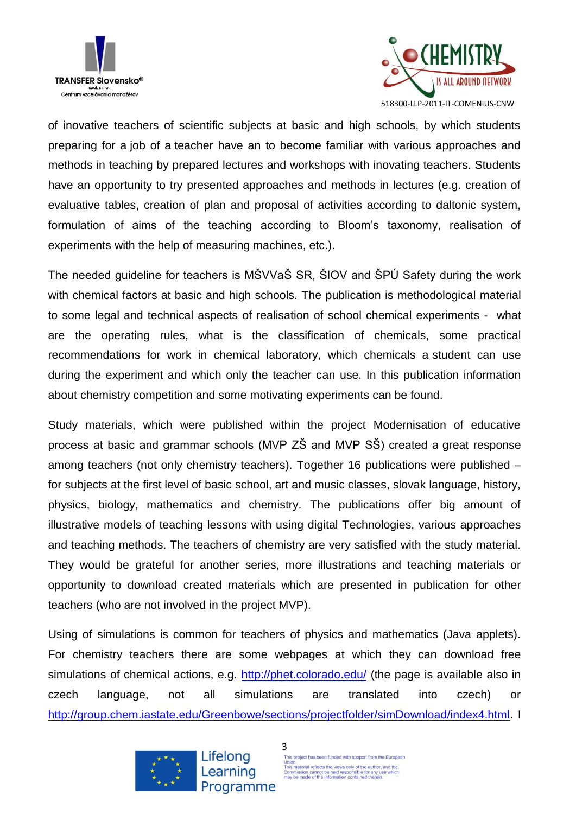



of inovative teachers of scientific subjects at basic and high schools, by which students preparing for a job of a teacher have an to become familiar with various approaches and methods in teaching by prepared lectures and workshops with inovating teachers. Students have an opportunity to try presented approaches and methods in lectures (e.g. creation of evaluative tables, creation of plan and proposal of activities according to daltonic system, formulation of aims of the teaching according to Bloom's taxonomy, realisation of experiments with the help of measuring machines, etc.).

The needed guideline for teachers is MŠVVaŠ SR, ŠIOV and ŠPÚ Safety during the work with chemical factors at basic and high schools. The publication is methodological material to some legal and technical aspects of realisation of school chemical experiments - what are the operating rules, what is the classification of chemicals, some practical recommendations for work in chemical laboratory, which chemicals a student can use during the experiment and which only the teacher can use. In this publication information about chemistry competition and some motivating experiments can be found.

Study materials, which were published within the project Modernisation of educative process at basic and grammar schools (MVP ZŠ and MVP SŠ) created a great response among teachers (not only chemistry teachers). Together 16 publications were published – for subjects at the first level of basic school, art and music classes, slovak language, history, physics, biology, mathematics and chemistry. The publications offer big amount of illustrative models of teaching lessons with using digital Technologies, various approaches and teaching methods. The teachers of chemistry are very satisfied with the study material. They would be grateful for another series, more illustrations and teaching materials or opportunity to download created materials which are presented in publication for other teachers (who are not involved in the project MVP).

Using of simulations is common for teachers of physics and mathematics (Java applets). For chemistry teachers there are some webpages at which they can download free simulations of chemical actions, e.g.<http://phet.colorado.edu/> (the page is available also in czech language, not all simulations are translated into czech) or [http://group.chem.iastate.edu/Greenbowe/sections/projectfolder/simDownload/index4.html.](http://group.chem.iastate.edu/Greenbowe/sections/projectfolder/simDownload/index4.html) I